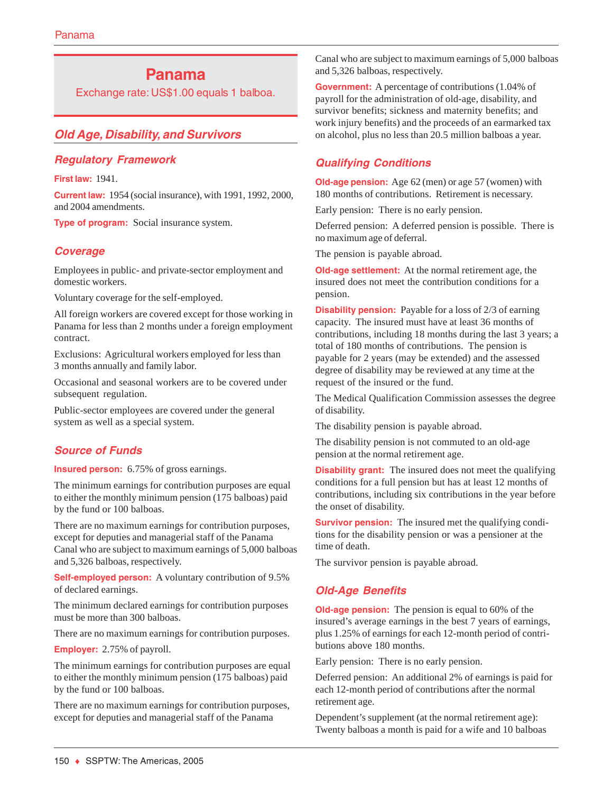# **Panama**

Exchange rate: US\$1.00 equals 1 balboa.

# **Old Age, Disability, and Survivors**

#### **Regulatory Framework**

**First law:** 1941.

**Current law:** 1954 (social insurance), with 1991, 1992, 2000, and 2004 amendments.

**Type of program:** Social insurance system.

#### **Coverage**

Employees in public- and private-sector employment and domestic workers.

Voluntary coverage for the self-employed.

All foreign workers are covered except for those working in Panama for less than 2 months under a foreign employment contract.

Exclusions: Agricultural workers employed for less than 3 months annually and family labor.

Occasional and seasonal workers are to be covered under subsequent regulation.

Public-sector employees are covered under the general system as well as a special system.

#### **Source of Funds**

**Insured person:** 6.75% of gross earnings.

The minimum earnings for contribution purposes are equal to either the monthly minimum pension (175 balboas) paid by the fund or 100 balboas.

There are no maximum earnings for contribution purposes, except for deputies and managerial staff of the Panama Canal who are subject to maximum earnings of 5,000 balboas and 5,326 balboas, respectively.

**Self-employed person:** A voluntary contribution of 9.5% of declared earnings.

The minimum declared earnings for contribution purposes must be more than 300 balboas.

There are no maximum earnings for contribution purposes.

**Employer:** 2.75% of payroll.

The minimum earnings for contribution purposes are equal to either the monthly minimum pension (175 balboas) paid by the fund or 100 balboas.

There are no maximum earnings for contribution purposes, except for deputies and managerial staff of the Panama

Canal who are subject to maximum earnings of 5,000 balboas and 5,326 balboas, respectively.

**Government:** A percentage of contributions (1.04% of payroll for the administration of old-age, disability, and survivor benefits; sickness and maternity benefits; and work injury benefits) and the proceeds of an earmarked tax on alcohol, plus no less than 20.5 million balboas a year.

# **Qualifying Conditions**

**Old-age pension:** Age 62 (men) or age 57 (women) with 180 months of contributions. Retirement is necessary.

Early pension: There is no early pension.

Deferred pension: A deferred pension is possible. There is no maximum age of deferral.

The pension is payable abroad.

**Old-age settlement:** At the normal retirement age, the insured does not meet the contribution conditions for a pension.

**Disability pension:** Payable for a loss of 2/3 of earning capacity. The insured must have at least 36 months of contributions, including 18 months during the last 3 years; a total of 180 months of contributions. The pension is payable for 2 years (may be extended) and the assessed degree of disability may be reviewed at any time at the request of the insured or the fund.

The Medical Qualification Commission assesses the degree of disability.

The disability pension is payable abroad.

The disability pension is not commuted to an old-age pension at the normal retirement age.

**Disability grant:** The insured does not meet the qualifying conditions for a full pension but has at least 12 months of contributions, including six contributions in the year before the onset of disability.

**Survivor pension:** The insured met the qualifying conditions for the disability pension or was a pensioner at the time of death.

The survivor pension is payable abroad.

# **Old-Age Benefits**

**Old-age pension:** The pension is equal to 60% of the insured's average earnings in the best 7 years of earnings, plus 1.25% of earnings for each 12-month period of contributions above 180 months.

Early pension: There is no early pension.

Deferred pension: An additional 2% of earnings is paid for each 12-month period of contributions after the normal retirement age.

Dependent's supplement (at the normal retirement age): Twenty balboas a month is paid for a wife and 10 balboas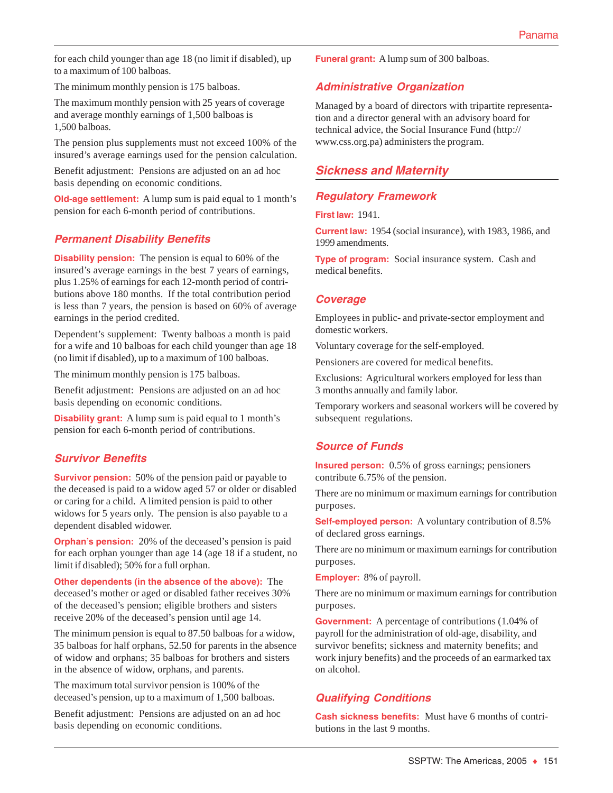for each child younger than age 18 (no limit if disabled), up to a maximum of 100 balboas.

The minimum monthly pension is 175 balboas.

The maximum monthly pension with 25 years of coverage and average monthly earnings of 1,500 balboas is 1,500 balboas.

The pension plus supplements must not exceed 100% of the insured's average earnings used for the pension calculation.

Benefit adjustment: Pensions are adjusted on an ad hoc basis depending on economic conditions.

**Old-age settlement:** A lump sum is paid equal to 1 month's pension for each 6-month period of contributions.

# **Permanent Disability Benefits**

**Disability pension:** The pension is equal to 60% of the insured's average earnings in the best 7 years of earnings, plus 1.25% of earnings for each 12-month period of contributions above 180 months. If the total contribution period is less than 7 years, the pension is based on 60% of average earnings in the period credited.

Dependent's supplement: Twenty balboas a month is paid for a wife and 10 balboas for each child younger than age 18 (no limit if disabled), up to a maximum of 100 balboas.

The minimum monthly pension is 175 balboas.

Benefit adjustment: Pensions are adjusted on an ad hoc basis depending on economic conditions.

**Disability grant:** A lump sum is paid equal to 1 month's pension for each 6-month period of contributions.

# **Survivor Benefits**

**Survivor pension:** 50% of the pension paid or payable to the deceased is paid to a widow aged 57 or older or disabled or caring for a child. A limited pension is paid to other widows for 5 years only. The pension is also payable to a dependent disabled widower.

**Orphan's pension:** 20% of the deceased's pension is paid for each orphan younger than age 14 (age 18 if a student, no limit if disabled); 50% for a full orphan.

**Other dependents (in the absence of the above):** The deceased's mother or aged or disabled father receives 30% of the deceased's pension; eligible brothers and sisters receive 20% of the deceased's pension until age 14.

The minimum pension is equal to 87.50 balboas for a widow, 35 balboas for half orphans, 52.50 for parents in the absence of widow and orphans; 35 balboas for brothers and sisters in the absence of widow, orphans, and parents.

The maximum total survivor pension is 100% of the deceased's pension, up to a maximum of 1,500 balboas.

Benefit adjustment: Pensions are adjusted on an ad hoc basis depending on economic conditions.

**Funeral grant:** A lump sum of 300 balboas.

# **Administrative Organization**

Managed by a board of directors with tripartite representation and a director general with an advisory board for technical advice, the Social Insurance Fund (http:// www.css.org.pa) administers the program.

# **Sickness and Maternity**

#### **Regulatory Framework**

**First law:** 1941.

**Current law:** 1954 (social insurance), with 1983, 1986, and 1999 amendments.

**Type of program:** Social insurance system. Cash and medical benefits.

#### **Coverage**

Employees in public- and private-sector employment and domestic workers.

Voluntary coverage for the self-employed.

Pensioners are covered for medical benefits.

Exclusions: Agricultural workers employed for less than 3 months annually and family labor.

Temporary workers and seasonal workers will be covered by subsequent regulations.

# **Source of Funds**

**Insured person:** 0.5% of gross earnings; pensioners contribute 6.75% of the pension.

There are no minimum or maximum earnings for contribution purposes.

**Self-employed person:** A voluntary contribution of 8.5% of declared gross earnings.

There are no minimum or maximum earnings for contribution purposes.

**Employer:** 8% of payroll.

There are no minimum or maximum earnings for contribution purposes.

**Government:** A percentage of contributions (1.04% of payroll for the administration of old-age, disability, and survivor benefits; sickness and maternity benefits; and work injury benefits) and the proceeds of an earmarked tax on alcohol.

# **Qualifying Conditions**

**Cash sickness benefits:** Must have 6 months of contributions in the last 9 months.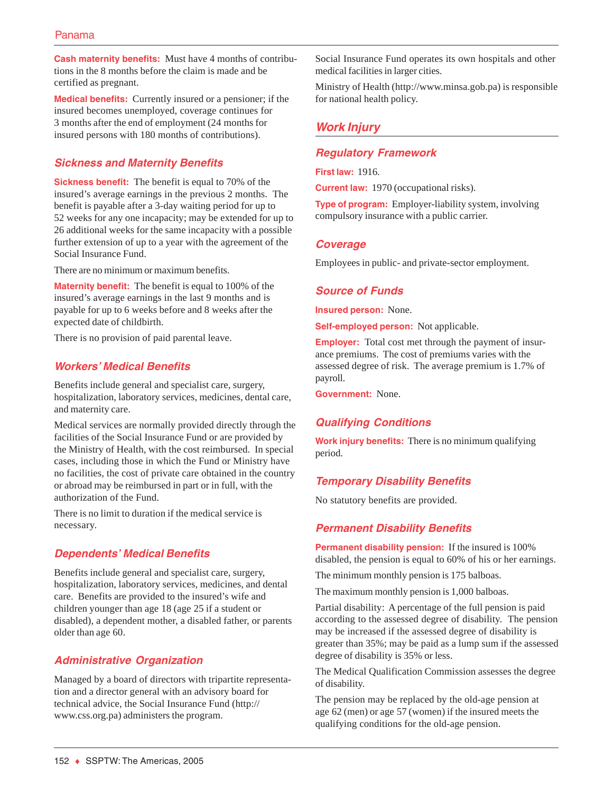**Cash maternity benefits:** Must have 4 months of contributions in the 8 months before the claim is made and be certified as pregnant.

**Medical benefits:** Currently insured or a pensioner; if the insured becomes unemployed, coverage continues for 3 months after the end of employment (24 months for insured persons with 180 months of contributions).

# **Sickness and Maternity Benefits**

**Sickness benefit:** The benefit is equal to 70% of the insured's average earnings in the previous 2 months. The benefit is payable after a 3-day waiting period for up to 52 weeks for any one incapacity; may be extended for up to 26 additional weeks for the same incapacity with a possible further extension of up to a year with the agreement of the Social Insurance Fund.

There are no minimum or maximum benefits.

**Maternity benefit:** The benefit is equal to 100% of the insured's average earnings in the last 9 months and is payable for up to 6 weeks before and 8 weeks after the expected date of childbirth.

There is no provision of paid parental leave.

# **Workers' Medical Benefits**

Benefits include general and specialist care, surgery, hospitalization, laboratory services, medicines, dental care, and maternity care.

Medical services are normally provided directly through the facilities of the Social Insurance Fund or are provided by the Ministry of Health, with the cost reimbursed. In special cases, including those in which the Fund or Ministry have no facilities, the cost of private care obtained in the country or abroad may be reimbursed in part or in full, with the authorization of the Fund.

There is no limit to duration if the medical service is necessary.

# **Dependents' Medical Benefits**

Benefits include general and specialist care, surgery, hospitalization, laboratory services, medicines, and dental care. Benefits are provided to the insured's wife and children younger than age 18 (age 25 if a student or disabled), a dependent mother, a disabled father, or parents older than age 60.

# **Administrative Organization**

Managed by a board of directors with tripartite representation and a director general with an advisory board for technical advice, the Social Insurance Fund (http:// www.css.org.pa) administers the program.

Social Insurance Fund operates its own hospitals and other medical facilities in larger cities.

Ministry of Health (http://www.minsa.gob.pa) is responsible for national health policy.

# **Work Injury**

#### **Regulatory Framework**

**First law:** 1916.

**Current law:** 1970 (occupational risks).

**Type of program:** Employer-liability system, involving compulsory insurance with a public carrier.

#### **Coverage**

Employees in public- and private-sector employment.

#### **Source of Funds**

**Insured person:** None.

**Self-employed person:** Not applicable.

**Employer:** Total cost met through the payment of insurance premiums. The cost of premiums varies with the assessed degree of risk. The average premium is 1.7% of payroll.

**Government:** None.

# **Qualifying Conditions**

**Work injury benefits:** There is no minimum qualifying period.

# **Temporary Disability Benefits**

No statutory benefits are provided.

# **Permanent Disability Benefits**

**Permanent disability pension:** If the insured is 100% disabled, the pension is equal to 60% of his or her earnings.

The minimum monthly pension is 175 balboas.

The maximum monthly pension is 1,000 balboas.

Partial disability: A percentage of the full pension is paid according to the assessed degree of disability. The pension may be increased if the assessed degree of disability is greater than 35%; may be paid as a lump sum if the assessed degree of disability is 35% or less.

The Medical Qualification Commission assesses the degree of disability.

The pension may be replaced by the old-age pension at age 62 (men) or age 57 (women) if the insured meets the qualifying conditions for the old-age pension.